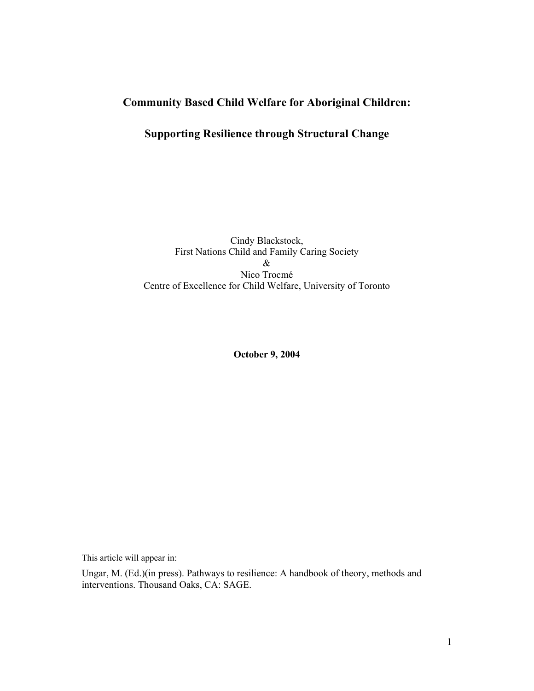# **Community Based Child Welfare for Aboriginal Children:**

## **Supporting Resilience through Structural Change**

Cindy Blackstock, First Nations Child and Family Caring Society & Nico Trocmé Centre of Excellence for Child Welfare, University of Toronto

**October 9, 2004** 

This article will appear in:

Ungar, M. (Ed.)(in press). Pathways to resilience: A handbook of theory, methods and interventions. Thousand Oaks, CA: SAGE.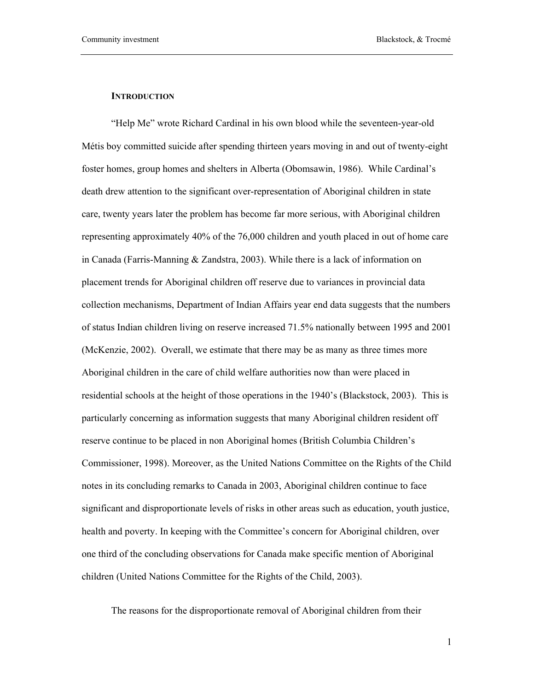### **INTRODUCTION**

"Help Me" wrote Richard Cardinal in his own blood while the seventeen-year-old Métis boy committed suicide after spending thirteen years moving in and out of twenty-eight foster homes, group homes and shelters in Alberta (Obomsawin, 1986). While Cardinal's death drew attention to the significant over-representation of Aboriginal children in state care, twenty years later the problem has become far more serious, with Aboriginal children representing approximately 40% of the 76,000 children and youth placed in out of home care in Canada (Farris-Manning & Zandstra, 2003). While there is a lack of information on placement trends for Aboriginal children off reserve due to variances in provincial data collection mechanisms, Department of Indian Affairs year end data suggests that the numbers of status Indian children living on reserve increased 71.5% nationally between 1995 and 2001 (McKenzie, 2002). Overall, we estimate that there may be as many as three times more Aboriginal children in the care of child welfare authorities now than were placed in residential schools at the height of those operations in the 1940's (Blackstock, 2003). This is particularly concerning as information suggests that many Aboriginal children resident off reserve continue to be placed in non Aboriginal homes (British Columbia Children's Commissioner, 1998). Moreover, as the United Nations Committee on the Rights of the Child notes in its concluding remarks to Canada in 2003, Aboriginal children continue to face significant and disproportionate levels of risks in other areas such as education, youth justice, health and poverty. In keeping with the Committee's concern for Aboriginal children, over one third of the concluding observations for Canada make specific mention of Aboriginal children (United Nations Committee for the Rights of the Child, 2003).

The reasons for the disproportionate removal of Aboriginal children from their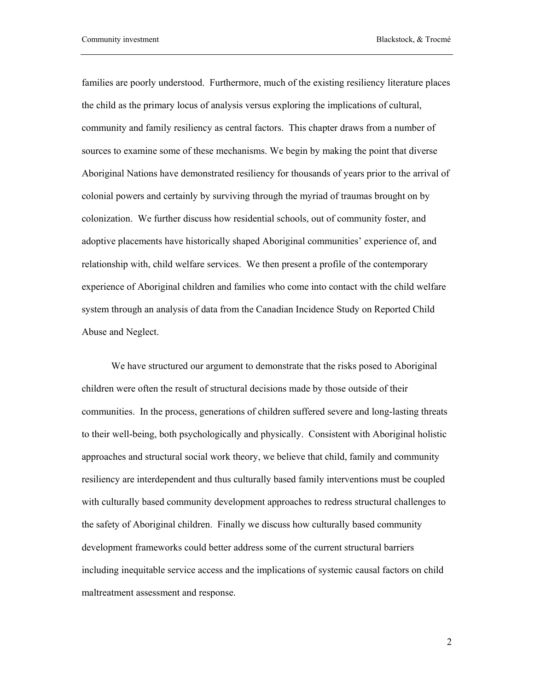families are poorly understood. Furthermore, much of the existing resiliency literature places the child as the primary locus of analysis versus exploring the implications of cultural, community and family resiliency as central factors. This chapter draws from a number of sources to examine some of these mechanisms. We begin by making the point that diverse Aboriginal Nations have demonstrated resiliency for thousands of years prior to the arrival of colonial powers and certainly by surviving through the myriad of traumas brought on by colonization. We further discuss how residential schools, out of community foster, and adoptive placements have historically shaped Aboriginal communities' experience of, and relationship with, child welfare services. We then present a profile of the contemporary experience of Aboriginal children and families who come into contact with the child welfare system through an analysis of data from the Canadian Incidence Study on Reported Child Abuse and Neglect.

We have structured our argument to demonstrate that the risks posed to Aboriginal children were often the result of structural decisions made by those outside of their communities. In the process, generations of children suffered severe and long-lasting threats to their well-being, both psychologically and physically. Consistent with Aboriginal holistic approaches and structural social work theory, we believe that child, family and community resiliency are interdependent and thus culturally based family interventions must be coupled with culturally based community development approaches to redress structural challenges to the safety of Aboriginal children. Finally we discuss how culturally based community development frameworks could better address some of the current structural barriers including inequitable service access and the implications of systemic causal factors on child maltreatment assessment and response.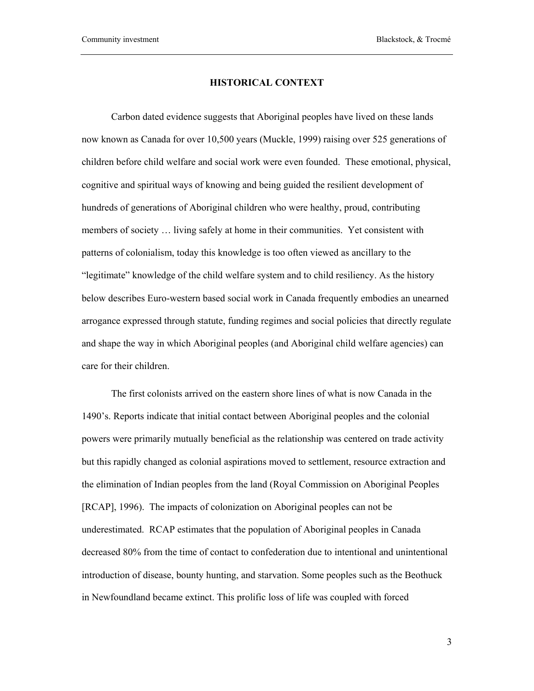#### **HISTORICAL CONTEXT**

Carbon dated evidence suggests that Aboriginal peoples have lived on these lands now known as Canada for over 10,500 years (Muckle, 1999) raising over 525 generations of children before child welfare and social work were even founded. These emotional, physical, cognitive and spiritual ways of knowing and being guided the resilient development of hundreds of generations of Aboriginal children who were healthy, proud, contributing members of society … living safely at home in their communities. Yet consistent with patterns of colonialism, today this knowledge is too often viewed as ancillary to the "legitimate" knowledge of the child welfare system and to child resiliency. As the history below describes Euro-western based social work in Canada frequently embodies an unearned arrogance expressed through statute, funding regimes and social policies that directly regulate and shape the way in which Aboriginal peoples (and Aboriginal child welfare agencies) can care for their children.

The first colonists arrived on the eastern shore lines of what is now Canada in the 1490's. Reports indicate that initial contact between Aboriginal peoples and the colonial powers were primarily mutually beneficial as the relationship was centered on trade activity but this rapidly changed as colonial aspirations moved to settlement, resource extraction and the elimination of Indian peoples from the land (Royal Commission on Aboriginal Peoples [RCAP], 1996). The impacts of colonization on Aboriginal peoples can not be underestimated. RCAP estimates that the population of Aboriginal peoples in Canada decreased 80% from the time of contact to confederation due to intentional and unintentional introduction of disease, bounty hunting, and starvation. Some peoples such as the Beothuck in Newfoundland became extinct. This prolific loss of life was coupled with forced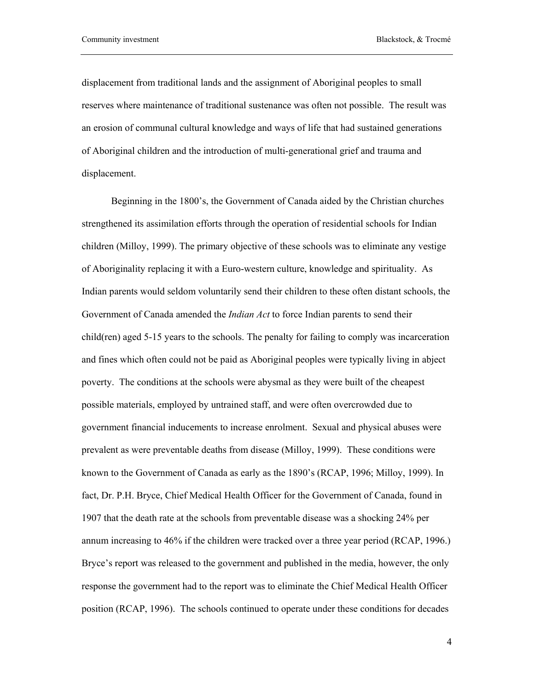displacement from traditional lands and the assignment of Aboriginal peoples to small reserves where maintenance of traditional sustenance was often not possible. The result was an erosion of communal cultural knowledge and ways of life that had sustained generations of Aboriginal children and the introduction of multi-generational grief and trauma and displacement.

Beginning in the 1800's, the Government of Canada aided by the Christian churches strengthened its assimilation efforts through the operation of residential schools for Indian children (Milloy, 1999). The primary objective of these schools was to eliminate any vestige of Aboriginality replacing it with a Euro-western culture, knowledge and spirituality. As Indian parents would seldom voluntarily send their children to these often distant schools, the Government of Canada amended the *Indian Act* to force Indian parents to send their child(ren) aged 5-15 years to the schools. The penalty for failing to comply was incarceration and fines which often could not be paid as Aboriginal peoples were typically living in abject poverty. The conditions at the schools were abysmal as they were built of the cheapest possible materials, employed by untrained staff, and were often overcrowded due to government financial inducements to increase enrolment. Sexual and physical abuses were prevalent as were preventable deaths from disease (Milloy, 1999). These conditions were known to the Government of Canada as early as the 1890's (RCAP, 1996; Milloy, 1999). In fact, Dr. P.H. Bryce, Chief Medical Health Officer for the Government of Canada, found in 1907 that the death rate at the schools from preventable disease was a shocking 24% per annum increasing to 46% if the children were tracked over a three year period (RCAP, 1996.) Bryce's report was released to the government and published in the media, however, the only response the government had to the report was to eliminate the Chief Medical Health Officer position (RCAP, 1996). The schools continued to operate under these conditions for decades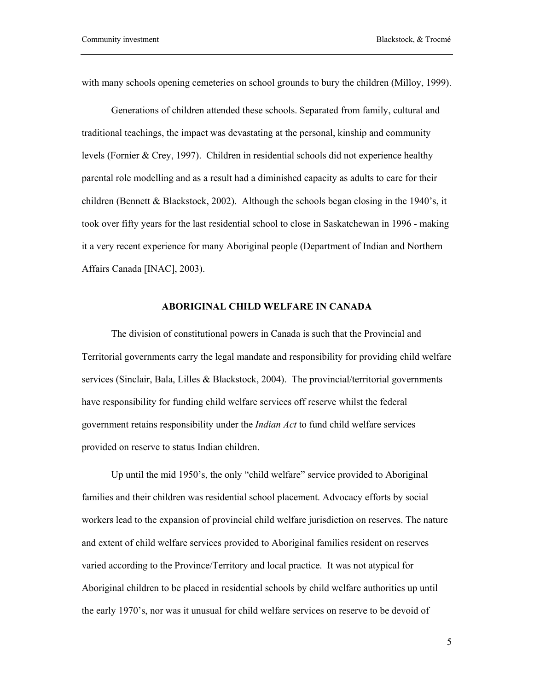with many schools opening cemeteries on school grounds to bury the children (Milloy, 1999).

Generations of children attended these schools. Separated from family, cultural and traditional teachings, the impact was devastating at the personal, kinship and community levels (Fornier & Crey, 1997). Children in residential schools did not experience healthy parental role modelling and as a result had a diminished capacity as adults to care for their children (Bennett & Blackstock, 2002). Although the schools began closing in the 1940's, it took over fifty years for the last residential school to close in Saskatchewan in 1996 - making it a very recent experience for many Aboriginal people (Department of Indian and Northern Affairs Canada [INAC], 2003).

#### **ABORIGINAL CHILD WELFARE IN CANADA**

The division of constitutional powers in Canada is such that the Provincial and Territorial governments carry the legal mandate and responsibility for providing child welfare services (Sinclair, Bala, Lilles & Blackstock, 2004). The provincial/territorial governments have responsibility for funding child welfare services off reserve whilst the federal government retains responsibility under the *Indian Act* to fund child welfare services provided on reserve to status Indian children.

Up until the mid 1950's, the only "child welfare" service provided to Aboriginal families and their children was residential school placement. Advocacy efforts by social workers lead to the expansion of provincial child welfare jurisdiction on reserves. The nature and extent of child welfare services provided to Aboriginal families resident on reserves varied according to the Province/Territory and local practice. It was not atypical for Aboriginal children to be placed in residential schools by child welfare authorities up until the early 1970's, nor was it unusual for child welfare services on reserve to be devoid of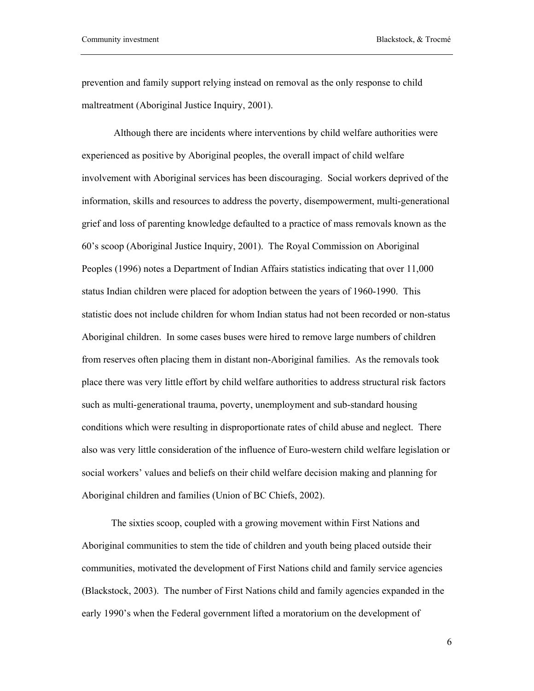prevention and family support relying instead on removal as the only response to child maltreatment (Aboriginal Justice Inquiry, 2001).

 Although there are incidents where interventions by child welfare authorities were experienced as positive by Aboriginal peoples, the overall impact of child welfare involvement with Aboriginal services has been discouraging. Social workers deprived of the information, skills and resources to address the poverty, disempowerment, multi-generational grief and loss of parenting knowledge defaulted to a practice of mass removals known as the 60's scoop (Aboriginal Justice Inquiry, 2001). The Royal Commission on Aboriginal Peoples (1996) notes a Department of Indian Affairs statistics indicating that over 11,000 status Indian children were placed for adoption between the years of 1960-1990. This statistic does not include children for whom Indian status had not been recorded or non-status Aboriginal children. In some cases buses were hired to remove large numbers of children from reserves often placing them in distant non-Aboriginal families. As the removals took place there was very little effort by child welfare authorities to address structural risk factors such as multi-generational trauma, poverty, unemployment and sub-standard housing conditions which were resulting in disproportionate rates of child abuse and neglect. There also was very little consideration of the influence of Euro-western child welfare legislation or social workers' values and beliefs on their child welfare decision making and planning for Aboriginal children and families (Union of BC Chiefs, 2002).

The sixties scoop, coupled with a growing movement within First Nations and Aboriginal communities to stem the tide of children and youth being placed outside their communities, motivated the development of First Nations child and family service agencies (Blackstock, 2003). The number of First Nations child and family agencies expanded in the early 1990's when the Federal government lifted a moratorium on the development of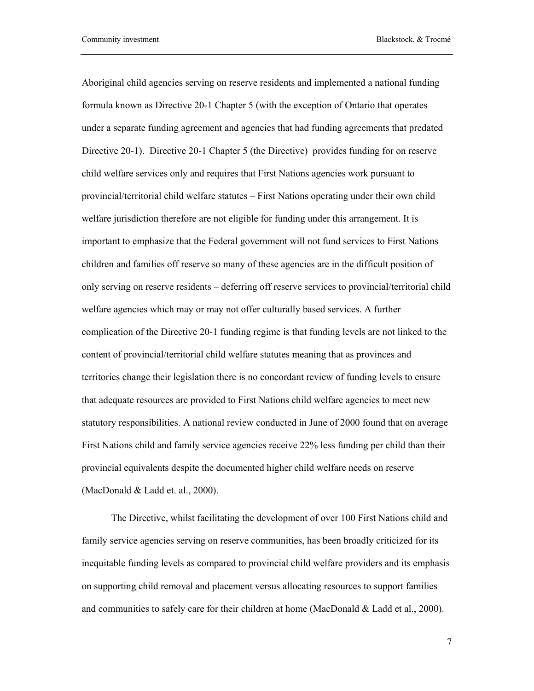Aboriginal child agencies serving on reserve residents and implemented a national funding formula known as Directive 20-1 Chapter 5 (with the exception of Ontario that operates under a separate funding agreement and agencies that had funding agreements that predated Directive 20-1). Directive 20-1 Chapter 5 (the Directive) provides funding for on reserve child welfare services only and requires that First Nations agencies work pursuant to provincial/territorial child welfare statutes – First Nations operating under their own child welfare jurisdiction therefore are not eligible for funding under this arrangement. It is important to emphasize that the Federal government will not fund services to First Nations children and families off reserve so many of these agencies are in the difficult position of only serving on reserve residents – deferring off reserve services to provincial/territorial child welfare agencies which may or may not offer culturally based services. A further complication of the Directive 20-1 funding regime is that funding levels are not linked to the content of provincial/territorial child welfare statutes meaning that as provinces and territories change their legislation there is no concordant review of funding levels to ensure that adequate resources are provided to First Nations child welfare agencies to meet new statutory responsibilities. A national review conducted in June of 2000 found that on average First Nations child and family service agencies receive 22% less funding per child than their provincial equivalents despite the documented higher child welfare needs on reserve (MacDonald & Ladd et. al., 2000).

The Directive, whilst facilitating the development of over 100 First Nations child and family service agencies serving on reserve communities, has been broadly criticized for its inequitable funding levels as compared to provincial child welfare providers and its emphasis on supporting child removal and placement versus allocating resources to support families and communities to safely care for their children at home (MacDonald & Ladd et al., 2000).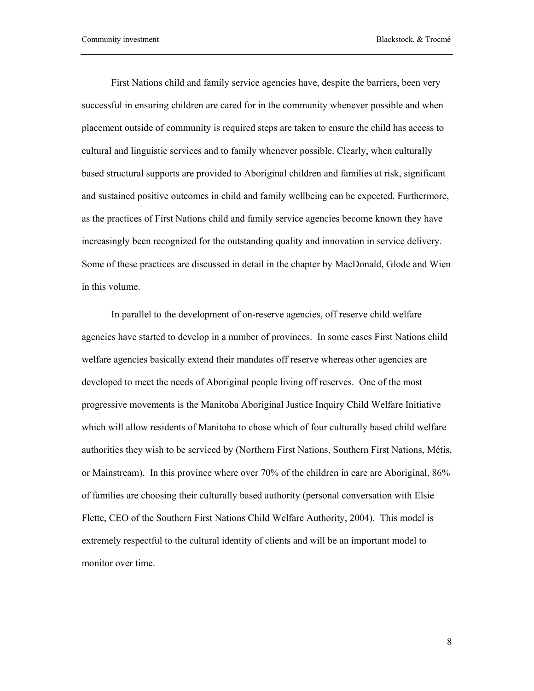First Nations child and family service agencies have, despite the barriers, been very successful in ensuring children are cared for in the community whenever possible and when placement outside of community is required steps are taken to ensure the child has access to cultural and linguistic services and to family whenever possible. Clearly, when culturally based structural supports are provided to Aboriginal children and families at risk, significant and sustained positive outcomes in child and family wellbeing can be expected. Furthermore, as the practices of First Nations child and family service agencies become known they have increasingly been recognized for the outstanding quality and innovation in service delivery. Some of these practices are discussed in detail in the chapter by MacDonald, Glode and Wien in this volume.

In parallel to the development of on-reserve agencies, off reserve child welfare agencies have started to develop in a number of provinces. In some cases First Nations child welfare agencies basically extend their mandates off reserve whereas other agencies are developed to meet the needs of Aboriginal people living off reserves. One of the most progressive movements is the Manitoba Aboriginal Justice Inquiry Child Welfare Initiative which will allow residents of Manitoba to chose which of four culturally based child welfare authorities they wish to be serviced by (Northern First Nations, Southern First Nations, Métis, or Mainstream). In this province where over 70% of the children in care are Aboriginal, 86% of families are choosing their culturally based authority (personal conversation with Elsie Flette, CEO of the Southern First Nations Child Welfare Authority, 2004). This model is extremely respectful to the cultural identity of clients and will be an important model to monitor over time.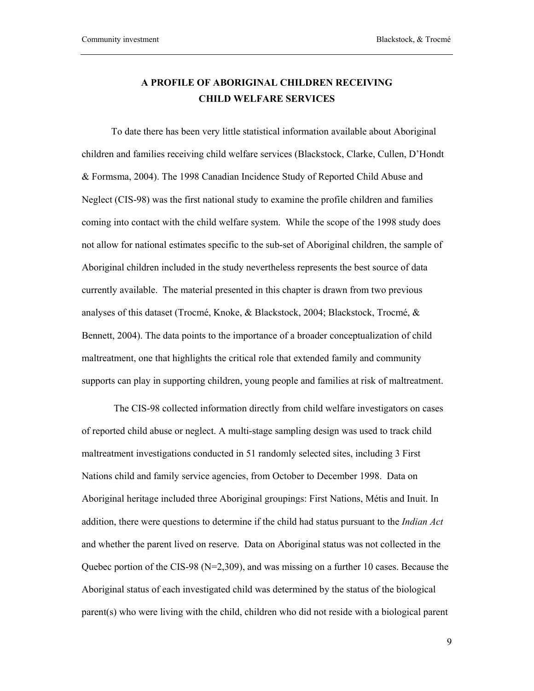## **A PROFILE OF ABORIGINAL CHILDREN RECEIVING CHILD WELFARE SERVICES**

To date there has been very little statistical information available about Aboriginal children and families receiving child welfare services (Blackstock, Clarke, Cullen, D'Hondt & Formsma, 2004). The 1998 Canadian Incidence Study of Reported Child Abuse and Neglect (CIS-98) was the first national study to examine the profile children and families coming into contact with the child welfare system. While the scope of the 1998 study does not allow for national estimates specific to the sub-set of Aboriginal children, the sample of Aboriginal children included in the study nevertheless represents the best source of data currently available. The material presented in this chapter is drawn from two previous analyses of this dataset (Trocmé, Knoke, & Blackstock, 2004; Blackstock, Trocmé, & Bennett, 2004). The data points to the importance of a broader conceptualization of child maltreatment, one that highlights the critical role that extended family and community supports can play in supporting children, young people and families at risk of maltreatment.

 The CIS-98 collected information directly from child welfare investigators on cases of reported child abuse or neglect. A multi-stage sampling design was used to track child maltreatment investigations conducted in 51 randomly selected sites, including 3 First Nations child and family service agencies, from October to December 1998. Data on Aboriginal heritage included three Aboriginal groupings: First Nations, Métis and Inuit. In addition, there were questions to determine if the child had status pursuant to the *Indian Act* and whether the parent lived on reserve. Data on Aboriginal status was not collected in the Quebec portion of the CIS-98 ( $N=2,309$ ), and was missing on a further 10 cases. Because the Aboriginal status of each investigated child was determined by the status of the biological parent(s) who were living with the child, children who did not reside with a biological parent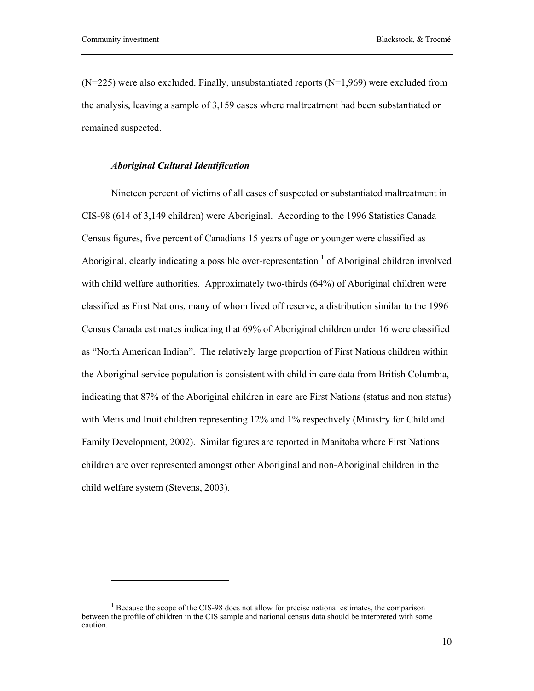$\overline{a}$ 

 $(N=225)$  were also excluded. Finally, unsubstantiated reports  $(N=1.969)$  were excluded from the analysis, leaving a sample of 3,159 cases where maltreatment had been substantiated or remained suspected.

#### *Aboriginal Cultural Identification*

Nineteen percent of victims of all cases of suspected or substantiated maltreatment in CIS-98 (614 of 3,149 children) were Aboriginal. According to the 1996 Statistics Canada Census figures, five percent of Canadians 15 years of age or younger were classified as Aboriginal, clearly indicating a possible over-representation  $\frac{1}{1}$  of Aboriginal children involved with child welfare authorities. Approximately two-thirds (64%) of Aboriginal children were classified as First Nations, many of whom lived off reserve, a distribution similar to the 1996 Census Canada estimates indicating that 69% of Aboriginal children under 16 were classified as "North American Indian". The relatively large proportion of First Nations children within the Aboriginal service population is consistent with child in care data from British Columbia, indicating that 87% of the Aboriginal children in care are First Nations (status and non status) with Metis and Inuit children representing 12% and 1% respectively (Ministry for Child and Family Development, 2002). Similar figures are reported in Manitoba where First Nations children are over represented amongst other Aboriginal and non-Aboriginal children in the child welfare system (Stevens, 2003).

<sup>&</sup>lt;sup>1</sup> Because the scope of the CIS-98 does not allow for precise national estimates, the comparison between the profile of children in the CIS sample and national census data should be interpreted with some caution.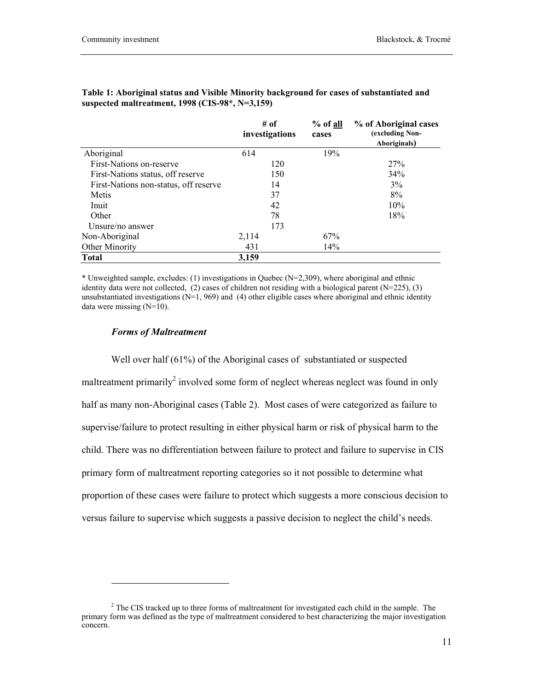|                                       | # of<br>investigations | % of all<br>cases | % of Aboriginal cases<br>(excluding Non-<br>Aboriginals) |
|---------------------------------------|------------------------|-------------------|----------------------------------------------------------|
| Aboriginal                            | 614                    | 19%               |                                                          |
| First-Nations on-reserve              | 120                    |                   | 27%                                                      |
| First-Nations status, off reserve     | 150                    |                   | 34%                                                      |
| First-Nations non-status, off reserve | 14                     |                   | $3\%$                                                    |
| Metis                                 | 37                     |                   | 8%                                                       |
| Inuit                                 | 42                     |                   | 10%                                                      |
| Other                                 | 78                     |                   | 18%                                                      |
| Unsure/no answer                      | 173                    |                   |                                                          |
| Non-Aboriginal                        | 2,114                  | 67%               |                                                          |
| Other Minority                        | 431                    | 14%               |                                                          |
| <b>Total</b>                          | 3,159                  |                   |                                                          |

**Table 1: Aboriginal status and Visible Minority background for cases of substantiated and suspected maltreatment, 1998 (CIS-98\*, N=3,159)** 

**% of all** 

\* Unweighted sample, excludes: (1) investigations in Quebec (N=2,309), where aboriginal and ethnic identity data were not collected,  $(2)$  cases of children not residing with a biological parent  $(N=225)$ ,  $(3)$ unsubstantiated investigations ( $N=1, 969$ ) and (4) other eligible cases where aboriginal and ethnic identity data were missing (N=10).

#### *Forms of Maltreatment*

 $\overline{\phantom{a}}$ 

Well over half (61%) of the Aboriginal cases of substantiated or suspected maltreatment primarily<sup>2</sup> involved some form of neglect whereas neglect was found in only half as many non-Aboriginal cases (Table 2). Most cases of were categorized as failure to supervise/failure to protect resulting in either physical harm or risk of physical harm to the child. There was no differentiation between failure to protect and failure to supervise in CIS primary form of maltreatment reporting categories so it not possible to determine what proportion of these cases were failure to protect which suggests a more conscious decision to versus failure to supervise which suggests a passive decision to neglect the child's needs.

 $2^2$  The CIS tracked up to three forms of maltreatment for investigated each child in the sample. The primary form was defined as the type of maltreatment considered to best characterizing the major investigation concern.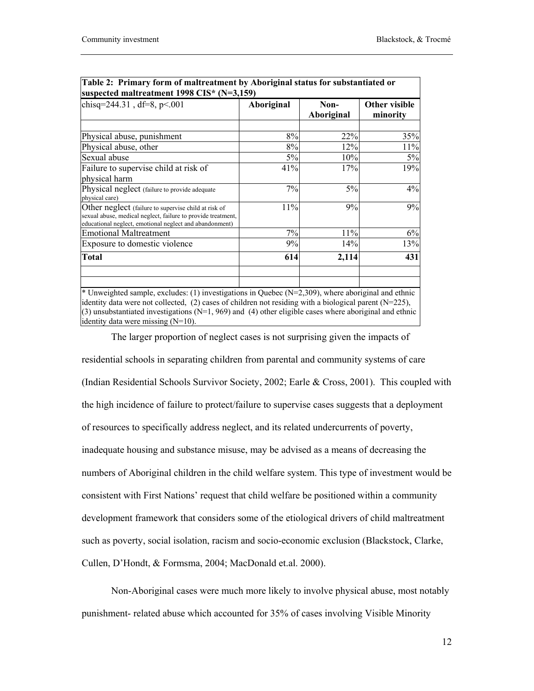┓

| chisq=244.31, df=8, $p<001$                                                                                                                                                     | Aboriginal | Non-<br>Aboriginal | Other visible<br>minority |
|---------------------------------------------------------------------------------------------------------------------------------------------------------------------------------|------------|--------------------|---------------------------|
|                                                                                                                                                                                 |            |                    |                           |
| Physical abuse, punishment                                                                                                                                                      | 8%         | 22%                | 35%                       |
| Physical abuse, other                                                                                                                                                           | 8%         | 12%                | 11%                       |
| Sexual abuse                                                                                                                                                                    | 5%         | 10%                | 5%                        |
| Failure to supervise child at risk of<br>physical harm                                                                                                                          | 41%        | 17%                | 19%                       |
| Physical neglect (failure to provide adequate<br>physical care)                                                                                                                 | 7%         | 5%                 | 4%                        |
| Other neglect (failure to supervise child at risk of<br>sexual abuse, medical neglect, failure to provide treatment,<br>educational neglect, emotional neglect and abandonment) | 11%        | 9%                 | 9%                        |
| <b>Emotional Maltreatment</b>                                                                                                                                                   | 7%         | 11%                | 6%                        |
| Exposure to domestic violence                                                                                                                                                   | 9%         | 14%                | 13%                       |
| <b>Total</b>                                                                                                                                                                    | 614        | 2,114              | 431                       |
| * Unweighted sample, excludes: (1) investigations in Quebec ( $N=2,309$ ), where aboriginal and ethnic                                                                          |            |                    |                           |

| Table 2: Primary form of maltreatment by Aboriginal status for substantiated or |  |
|---------------------------------------------------------------------------------|--|
| suspected maltreatment $1998$ CIS* (N=3,159)                                    |  |

(3) unsubstantiated investigations  $(N=1, 969)$  and (4) other eligible cases where aboriginal and ethnic identity data were missing (N=10). The larger proportion of neglect cases is not surprising given the impacts of

residential schools in separating children from parental and community systems of care (Indian Residential Schools Survivor Society, 2002; Earle & Cross, 2001). This coupled with the high incidence of failure to protect/failure to supervise cases suggests that a deployment of resources to specifically address neglect, and its related undercurrents of poverty, inadequate housing and substance misuse, may be advised as a means of decreasing the numbers of Aboriginal children in the child welfare system. This type of investment would be consistent with First Nations' request that child welfare be positioned within a community development framework that considers some of the etiological drivers of child maltreatment such as poverty, social isolation, racism and socio-economic exclusion (Blackstock, Clarke, Cullen, D'Hondt, & Formsma, 2004; MacDonald et.al. 2000).

Non-Aboriginal cases were much more likely to involve physical abuse, most notably punishment- related abuse which accounted for 35% of cases involving Visible Minority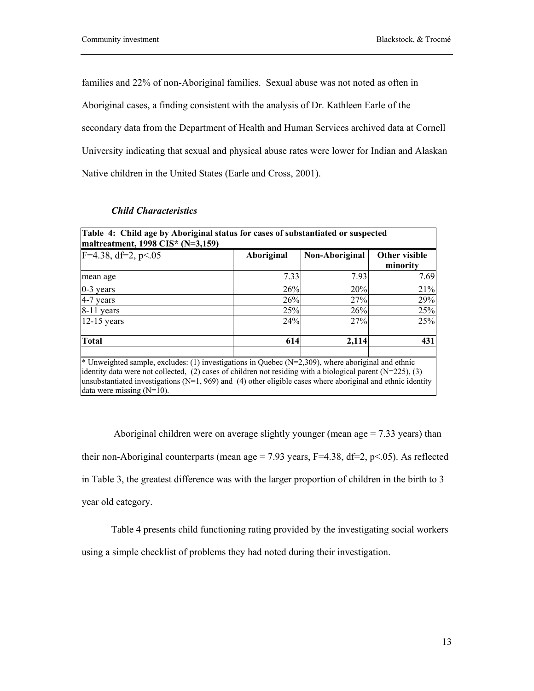families and 22% of non-Aboriginal families. Sexual abuse was not noted as often in Aboriginal cases, a finding consistent with the analysis of Dr. Kathleen Earle of the secondary data from the Department of Health and Human Services archived data at Cornell University indicating that sexual and physical abuse rates were lower for Indian and Alaskan Native children in the United States (Earle and Cross, 2001).

|      | Non-Aboriginal | Other visible<br>minority                                                                                                                                                                                                                                                                                                                                             |
|------|----------------|-----------------------------------------------------------------------------------------------------------------------------------------------------------------------------------------------------------------------------------------------------------------------------------------------------------------------------------------------------------------------|
| 7.33 | 7.93           | 7.69                                                                                                                                                                                                                                                                                                                                                                  |
|      | 20%            | 21%                                                                                                                                                                                                                                                                                                                                                                   |
|      | 27%            | 29%                                                                                                                                                                                                                                                                                                                                                                   |
|      | 26%            | 25%                                                                                                                                                                                                                                                                                                                                                                   |
| 24%  | 27%            | 25%                                                                                                                                                                                                                                                                                                                                                                   |
|      | 2,114          | 431                                                                                                                                                                                                                                                                                                                                                                   |
|      |                |                                                                                                                                                                                                                                                                                                                                                                       |
|      |                | 26%<br>26%<br>25%<br>614<br>* Unweighted sample, excludes: (1) investigations in Quebec ( $N=2,309$ ), where aboriginal and ethnic<br>identity data were not collected, $(2)$ cases of children not residing with a biological parent (N=225), (3)<br>unsubstantiated investigations ( $N=1$ , 969) and (4) other eligible cases where aboriginal and ethnic identity |

## *Child Characteristics*

Aboriginal children were on average slightly younger (mean age  $= 7.33$  years) than their non-Aboriginal counterparts (mean age = 7.93 years,  $F=4.38$ ,  $df=2$ ,  $p<.05$ ). As reflected in Table 3, the greatest difference was with the larger proportion of children in the birth to 3 year old category.

Table 4 presents child functioning rating provided by the investigating social workers using a simple checklist of problems they had noted during their investigation.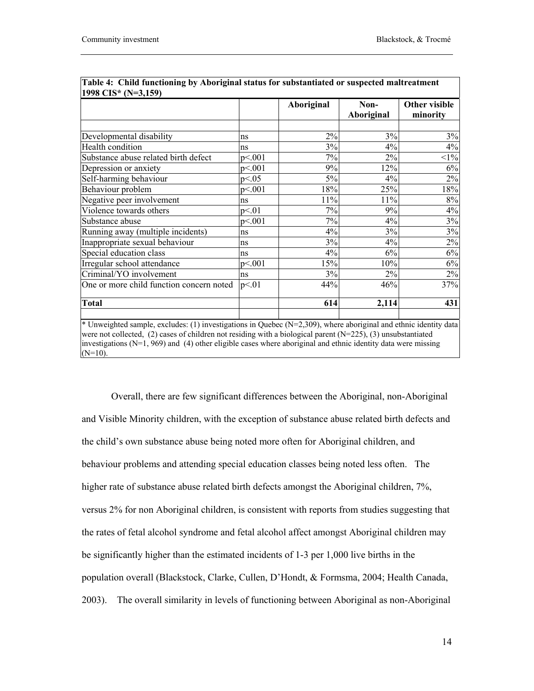|                                          |        | Aboriginal | Non-<br>Aboriginal | Other visible<br>minority |
|------------------------------------------|--------|------------|--------------------|---------------------------|
|                                          |        |            |                    |                           |
| Developmental disability                 | ns     | 2%         | 3%                 | 3%                        |
| Health condition                         | ns     | 3%         | 4%                 | 4%                        |
| Substance abuse related birth defect     | p<.001 | 7%         | 2%                 | $<1\%$                    |
| Depression or anxiety                    | p<.001 | 9%         | 12%                | 6%                        |
| Self-harming behaviour                   | p<.05  | 5%         | 4%                 | 2%                        |
| Behaviour problem                        | p<.001 | 18%        | 25%                | 18%                       |
| Negative peer involvement                | ns     | 11%        | 11%                | 8%                        |
| Violence towards others                  | p<01   | 7%         | 9%                 | 4%                        |
| Substance abuse                          | p<.001 | 7%         | 4%                 | 3%                        |
| Running away (multiple incidents)        | ns     | 4%         | 3%                 | 3%                        |
| Inappropriate sexual behaviour           | ns     | 3%         | $4\%$              | 2%                        |
| Special education class                  | ns     | 4%         | 6%                 | 6%                        |
| Irregular school attendance              | p<.001 | 15%        | 10%                | $6\%$                     |
| Criminal/YO involvement                  | ns     | 3%         | 2%                 | 2%                        |
| One or more child function concern noted | p<.01  | 44%        | 46%                | 37%                       |
| <b>Total</b>                             |        | 614        | 2,114              | 431                       |

| Table 4: Child functioning by Aboriginal status for substantiated or suspected maltreatment |  |
|---------------------------------------------------------------------------------------------|--|
| 1998 CIS* $(N=3.159)$                                                                       |  |

investigations  $(N=1, 969)$  and (4) other eligible cases where aboriginal and ethnic identity data were missing  $(N=10)$ .

Overall, there are few significant differences between the Aboriginal, non-Aboriginal and Visible Minority children, with the exception of substance abuse related birth defects and the child's own substance abuse being noted more often for Aboriginal children, and behaviour problems and attending special education classes being noted less often. The higher rate of substance abuse related birth defects amongst the Aboriginal children, 7%, versus 2% for non Aboriginal children, is consistent with reports from studies suggesting that the rates of fetal alcohol syndrome and fetal alcohol affect amongst Aboriginal children may be significantly higher than the estimated incidents of 1-3 per 1,000 live births in the population overall (Blackstock, Clarke, Cullen, D'Hondt, & Formsma, 2004; Health Canada, 2003). The overall similarity in levels of functioning between Aboriginal as non-Aboriginal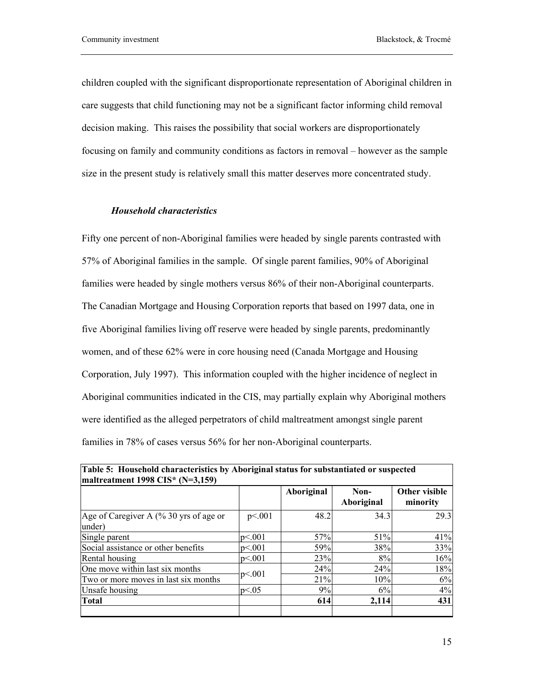children coupled with the significant disproportionate representation of Aboriginal children in care suggests that child functioning may not be a significant factor informing child removal decision making. This raises the possibility that social workers are disproportionately focusing on family and community conditions as factors in removal – however as the sample size in the present study is relatively small this matter deserves more concentrated study.

## *Household characteristics*

Fifty one percent of non-Aboriginal families were headed by single parents contrasted with 57% of Aboriginal families in the sample. Of single parent families, 90% of Aboriginal families were headed by single mothers versus 86% of their non-Aboriginal counterparts. The Canadian Mortgage and Housing Corporation reports that based on 1997 data, one in five Aboriginal families living off reserve were headed by single parents, predominantly women, and of these 62% were in core housing need (Canada Mortgage and Housing Corporation, July 1997). This information coupled with the higher incidence of neglect in Aboriginal communities indicated in the CIS, may partially explain why Aboriginal mothers were identified as the alleged perpetrators of child maltreatment amongst single parent families in 78% of cases versus 56% for her non-Aboriginal counterparts.

|                                                  |        | Aboriginal | Non-<br>Aboriginal | Other visible<br>minority |
|--------------------------------------------------|--------|------------|--------------------|---------------------------|
| Age of Caregiver A (% 30 yrs of age or<br>under) | p<.001 | 48.2       | 34.3               | 29.3                      |
| Single parent                                    | p<.001 | 57%        | 51%                | 41%                       |
| Social assistance or other benefits              | p< 001 | 59%        | 38%                | 33%                       |
| Rental housing                                   | p< 001 | 23%        | 8%                 | 16%                       |
| One move within last six months                  |        | 24%        | 24%                | 18%                       |
| Two or more moves in last six months             | p<.001 | 21%        | 10%                | 6%                        |
| Unsafe housing                                   | p<.05  | 9%         | 6%                 | 4%                        |
| Total                                            |        | 614        | 2,114              | 431                       |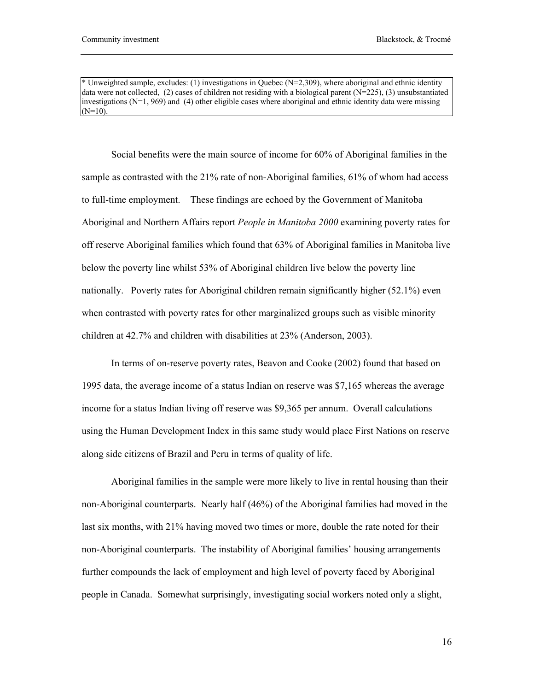\* Unweighted sample, excludes: (1) investigations in Quebec (N=2,309), where aboriginal and ethnic identity data were not collected, (2) cases of children not residing with a biological parent ( $N=225$ ), (3) unsubstantiated investigations ( $N=1, 969$ ) and (4) other eligible cases where aboriginal and ethnic identity data were missing  $(N=10)$ .

Social benefits were the main source of income for 60% of Aboriginal families in the sample as contrasted with the 21% rate of non-Aboriginal families, 61% of whom had access to full-time employment. These findings are echoed by the Government of Manitoba Aboriginal and Northern Affairs report *People in Manitoba 2000* examining poverty rates for off reserve Aboriginal families which found that 63% of Aboriginal families in Manitoba live below the poverty line whilst 53% of Aboriginal children live below the poverty line nationally. Poverty rates for Aboriginal children remain significantly higher (52.1%) even when contrasted with poverty rates for other marginalized groups such as visible minority children at 42.7% and children with disabilities at 23% (Anderson, 2003).

In terms of on-reserve poverty rates, Beavon and Cooke (2002) found that based on 1995 data, the average income of a status Indian on reserve was \$7,165 whereas the average income for a status Indian living off reserve was \$9,365 per annum. Overall calculations using the Human Development Index in this same study would place First Nations on reserve along side citizens of Brazil and Peru in terms of quality of life.

Aboriginal families in the sample were more likely to live in rental housing than their non-Aboriginal counterparts. Nearly half (46%) of the Aboriginal families had moved in the last six months, with 21% having moved two times or more, double the rate noted for their non-Aboriginal counterparts. The instability of Aboriginal families' housing arrangements further compounds the lack of employment and high level of poverty faced by Aboriginal people in Canada. Somewhat surprisingly, investigating social workers noted only a slight,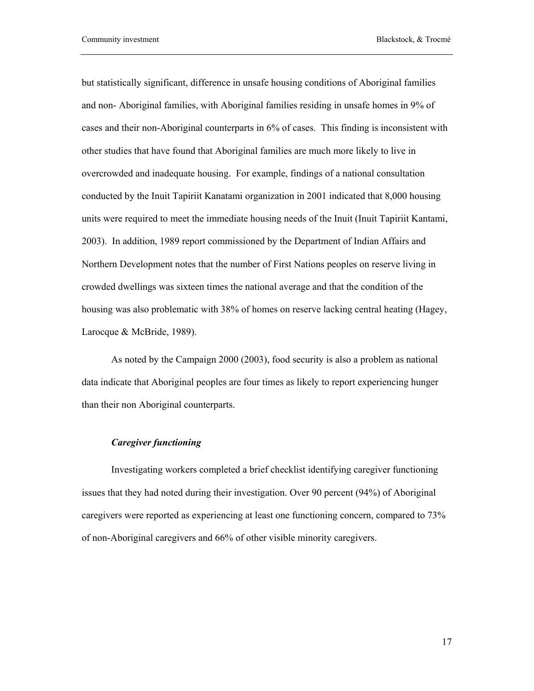but statistically significant, difference in unsafe housing conditions of Aboriginal families and non- Aboriginal families, with Aboriginal families residing in unsafe homes in 9% of cases and their non-Aboriginal counterparts in 6% of cases. This finding is inconsistent with other studies that have found that Aboriginal families are much more likely to live in overcrowded and inadequate housing. For example, findings of a national consultation conducted by the Inuit Tapiriit Kanatami organization in 2001 indicated that 8,000 housing units were required to meet the immediate housing needs of the Inuit (Inuit Tapiriit Kantami, 2003). In addition, 1989 report commissioned by the Department of Indian Affairs and Northern Development notes that the number of First Nations peoples on reserve living in crowded dwellings was sixteen times the national average and that the condition of the housing was also problematic with 38% of homes on reserve lacking central heating (Hagey, Larocque & McBride, 1989).

As noted by the Campaign 2000 (2003), food security is also a problem as national data indicate that Aboriginal peoples are four times as likely to report experiencing hunger than their non Aboriginal counterparts.

#### *Caregiver functioning*

Investigating workers completed a brief checklist identifying caregiver functioning issues that they had noted during their investigation. Over 90 percent (94%) of Aboriginal caregivers were reported as experiencing at least one functioning concern, compared to 73% of non-Aboriginal caregivers and 66% of other visible minority caregivers.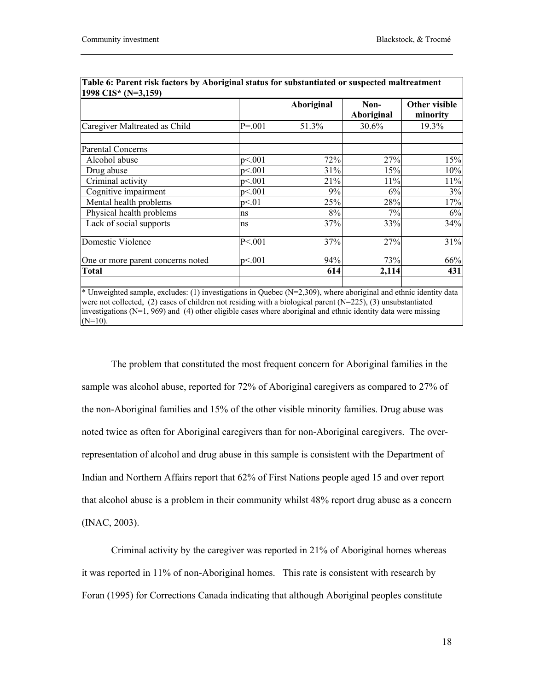| 1998 CIS* (N=3,159)               |              |            |                    |                           |  |
|-----------------------------------|--------------|------------|--------------------|---------------------------|--|
|                                   |              | Aboriginal | Non-<br>Aboriginal | Other visible<br>minority |  |
| Caregiver Maltreated as Child     | $P = 001$    | 51.3%      | 30.6%              | 19.3%                     |  |
| <b>Parental Concerns</b>          |              |            |                    |                           |  |
| Alcohol abuse                     | p<.001       | 72%        | 27%                | 15%                       |  |
| Drug abuse                        | p<.001       | 31%        | 15%                | 10%                       |  |
| Criminal activity                 | p<.001       | 21%        | 11%                | 11%                       |  |
| Cognitive impairment              | p<.001       | 9%         | 6%                 | 3%                        |  |
| Mental health problems            | p<01         | 25%        | 28%                | 17%                       |  |
| Physical health problems          | ns           | 8%         | 7%                 | 6%                        |  |
| Lack of social supports           | ns           | 37%        | 33%                | 34%                       |  |
| Domestic Violence                 | $P \le 0.01$ | 37%        | 27%                | 31%                       |  |
| One or more parent concerns noted | p<.001       | 94%        | 73%                | 66%                       |  |
| Total                             |              | 614        | 2,114              | 431                       |  |

| Table 6: Parent risk factors by Aboriginal status for substantiated or suspected maltreatment |  |
|-----------------------------------------------------------------------------------------------|--|
| $1998$ CIS* (N=3.159)                                                                         |  |

\* Unweighted sample, excludes: (1) investigations in Quebec (N=2,309), where aboriginal and ethnic identity data were not collected, (2) cases of children not residing with a biological parent (N=225), (3) unsubstantiated investigations ( $N=1, 969$ ) and (4) other eligible cases where aboriginal and ethnic identity data were missing  $(N=10)$ .

The problem that constituted the most frequent concern for Aboriginal families in the sample was alcohol abuse, reported for 72% of Aboriginal caregivers as compared to 27% of the non-Aboriginal families and 15% of the other visible minority families. Drug abuse was noted twice as often for Aboriginal caregivers than for non-Aboriginal caregivers. The overrepresentation of alcohol and drug abuse in this sample is consistent with the Department of Indian and Northern Affairs report that 62% of First Nations people aged 15 and over report that alcohol abuse is a problem in their community whilst 48% report drug abuse as a concern (INAC, 2003).

Criminal activity by the caregiver was reported in 21% of Aboriginal homes whereas it was reported in 11% of non-Aboriginal homes. This rate is consistent with research by Foran (1995) for Corrections Canada indicating that although Aboriginal peoples constitute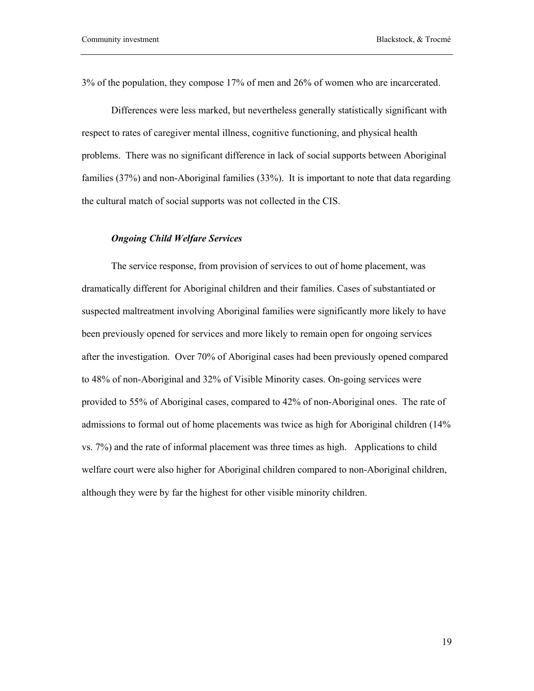3% of the population, they compose 17% of men and 26% of women who are incarcerated.

Differences were less marked, but nevertheless generally statistically significant with respect to rates of caregiver mental illness, cognitive functioning, and physical health problems. There was no significant difference in lack of social supports between Aboriginal families (37%) and non-Aboriginal families (33%). It is important to note that data regarding the cultural match of social supports was not collected in the CIS.

## *Ongoing Child Welfare Services*

The service response, from provision of services to out of home placement, was dramatically different for Aboriginal children and their families. Cases of substantiated or suspected maltreatment involving Aboriginal families were significantly more likely to have been previously opened for services and more likely to remain open for ongoing services after the investigation. Over 70% of Aboriginal cases had been previously opened compared to 48% of non-Aboriginal and 32% of Visible Minority cases. On-going services were provided to 55% of Aboriginal cases, compared to 42% of non-Aboriginal ones. The rate of admissions to formal out of home placements was twice as high for Aboriginal children (14% vs. 7%) and the rate of informal placement was three times as high. Applications to child welfare court were also higher for Aboriginal children compared to non-Aboriginal children, although they were by far the highest for other visible minority children.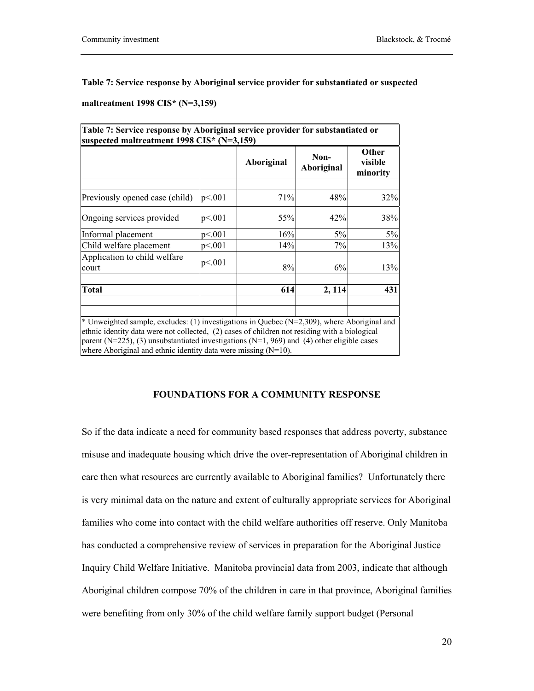**Table 7: Service response by Aboriginal service provider for substantiated or suspected** 

**maltreatment 1998 CIS\* (N=3,159)**

|                                                                                                                                                                                                                                                                  |        | Aboriginal | Non-<br>Aboriginal | <b>Other</b><br>visible<br>minority |
|------------------------------------------------------------------------------------------------------------------------------------------------------------------------------------------------------------------------------------------------------------------|--------|------------|--------------------|-------------------------------------|
| Previously opened case (child)                                                                                                                                                                                                                                   | p<.001 | 71%        | 48%                | 32%                                 |
| Ongoing services provided                                                                                                                                                                                                                                        | p<.001 | 55%        | 42%                | 38%                                 |
| Informal placement                                                                                                                                                                                                                                               | p<.001 | 16%        | 5%                 | 5%                                  |
| Child welfare placement                                                                                                                                                                                                                                          | p<.001 | 14%        | 7%                 | 13%                                 |
| Application to child welfare<br>court                                                                                                                                                                                                                            | p<.001 | 8%         | 6%                 | 13%                                 |
| <b>Total</b>                                                                                                                                                                                                                                                     |        | 614        | 2, 114             | 431                                 |
| * Unweighted sample, excludes: (1) investigations in Quebec ( $N=2,309$ ), where Aboriginal and                                                                                                                                                                  |        |            |                    |                                     |
| ethnic identity data were not collected, (2) cases of children not residing with a biological<br>parent (N=225), (3) unsubstantiated investigations (N=1, 969) and (4) other eligible cases<br>where Aboriginal and ethnic identity data were missing $(N=10)$ . |        |            |                    |                                     |

## **FOUNDATIONS FOR A COMMUNITY RESPONSE**

So if the data indicate a need for community based responses that address poverty, substance misuse and inadequate housing which drive the over-representation of Aboriginal children in care then what resources are currently available to Aboriginal families? Unfortunately there is very minimal data on the nature and extent of culturally appropriate services for Aboriginal families who come into contact with the child welfare authorities off reserve. Only Manitoba has conducted a comprehensive review of services in preparation for the Aboriginal Justice Inquiry Child Welfare Initiative. Manitoba provincial data from 2003, indicate that although Aboriginal children compose 70% of the children in care in that province, Aboriginal families were benefiting from only 30% of the child welfare family support budget (Personal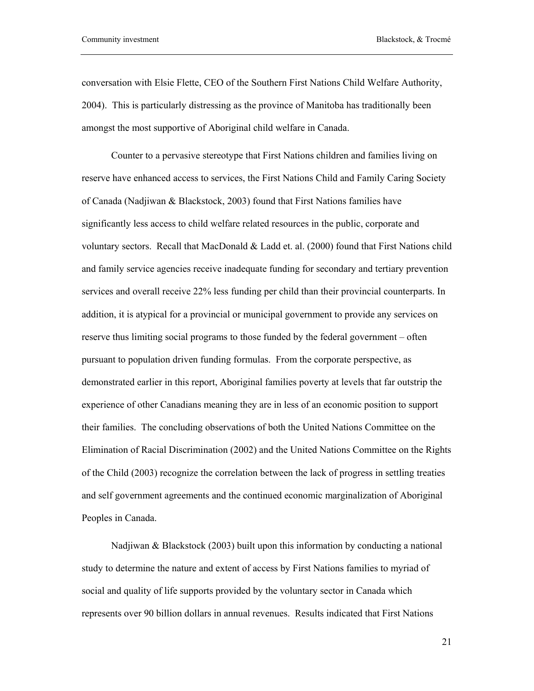conversation with Elsie Flette, CEO of the Southern First Nations Child Welfare Authority, 2004). This is particularly distressing as the province of Manitoba has traditionally been amongst the most supportive of Aboriginal child welfare in Canada.

Counter to a pervasive stereotype that First Nations children and families living on reserve have enhanced access to services, the First Nations Child and Family Caring Society of Canada (Nadjiwan & Blackstock, 2003) found that First Nations families have significantly less access to child welfare related resources in the public, corporate and voluntary sectors. Recall that MacDonald & Ladd et. al. (2000) found that First Nations child and family service agencies receive inadequate funding for secondary and tertiary prevention services and overall receive 22% less funding per child than their provincial counterparts. In addition, it is atypical for a provincial or municipal government to provide any services on reserve thus limiting social programs to those funded by the federal government – often pursuant to population driven funding formulas. From the corporate perspective, as demonstrated earlier in this report, Aboriginal families poverty at levels that far outstrip the experience of other Canadians meaning they are in less of an economic position to support their families. The concluding observations of both the United Nations Committee on the Elimination of Racial Discrimination (2002) and the United Nations Committee on the Rights of the Child (2003) recognize the correlation between the lack of progress in settling treaties and self government agreements and the continued economic marginalization of Aboriginal Peoples in Canada.

Nadjiwan & Blackstock (2003) built upon this information by conducting a national study to determine the nature and extent of access by First Nations families to myriad of social and quality of life supports provided by the voluntary sector in Canada which represents over 90 billion dollars in annual revenues. Results indicated that First Nations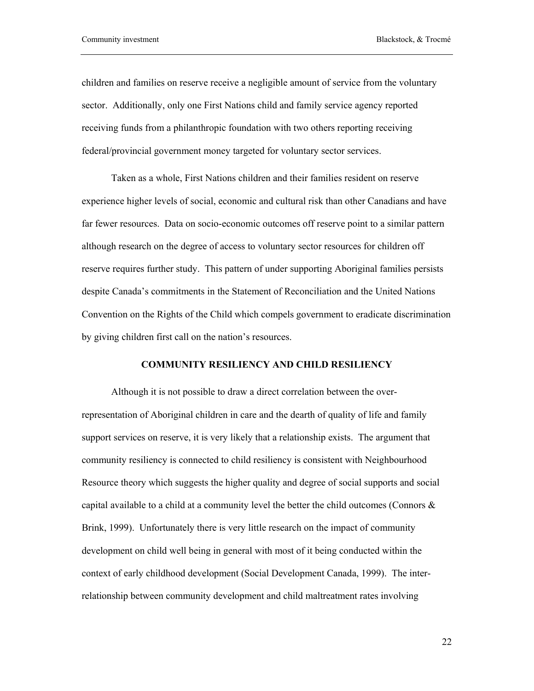children and families on reserve receive a negligible amount of service from the voluntary sector. Additionally, only one First Nations child and family service agency reported receiving funds from a philanthropic foundation with two others reporting receiving federal/provincial government money targeted for voluntary sector services.

Taken as a whole, First Nations children and their families resident on reserve experience higher levels of social, economic and cultural risk than other Canadians and have far fewer resources. Data on socio-economic outcomes off reserve point to a similar pattern although research on the degree of access to voluntary sector resources for children off reserve requires further study. This pattern of under supporting Aboriginal families persists despite Canada's commitments in the Statement of Reconciliation and the United Nations Convention on the Rights of the Child which compels government to eradicate discrimination by giving children first call on the nation's resources.

## **COMMUNITY RESILIENCY AND CHILD RESILIENCY**

Although it is not possible to draw a direct correlation between the overrepresentation of Aboriginal children in care and the dearth of quality of life and family support services on reserve, it is very likely that a relationship exists. The argument that community resiliency is connected to child resiliency is consistent with Neighbourhood Resource theory which suggests the higher quality and degree of social supports and social capital available to a child at a community level the better the child outcomes (Connors  $\&$ Brink, 1999). Unfortunately there is very little research on the impact of community development on child well being in general with most of it being conducted within the context of early childhood development (Social Development Canada, 1999). The interrelationship between community development and child maltreatment rates involving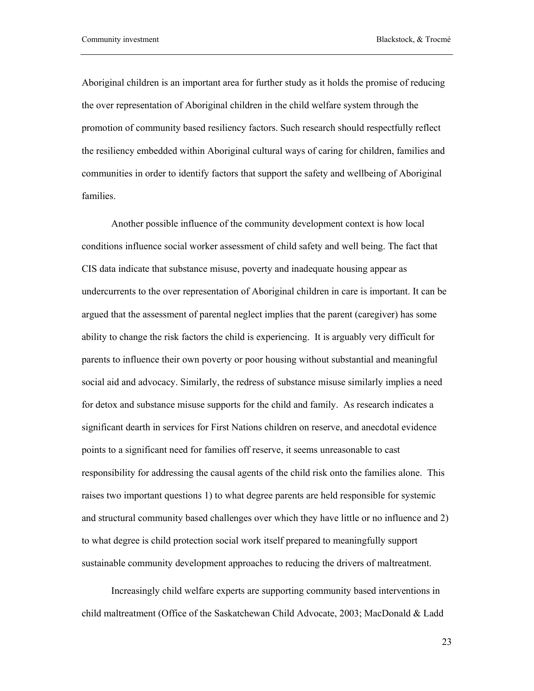Aboriginal children is an important area for further study as it holds the promise of reducing the over representation of Aboriginal children in the child welfare system through the promotion of community based resiliency factors. Such research should respectfully reflect the resiliency embedded within Aboriginal cultural ways of caring for children, families and communities in order to identify factors that support the safety and wellbeing of Aboriginal families.

Another possible influence of the community development context is how local conditions influence social worker assessment of child safety and well being. The fact that CIS data indicate that substance misuse, poverty and inadequate housing appear as undercurrents to the over representation of Aboriginal children in care is important. It can be argued that the assessment of parental neglect implies that the parent (caregiver) has some ability to change the risk factors the child is experiencing. It is arguably very difficult for parents to influence their own poverty or poor housing without substantial and meaningful social aid and advocacy. Similarly, the redress of substance misuse similarly implies a need for detox and substance misuse supports for the child and family. As research indicates a significant dearth in services for First Nations children on reserve, and anecdotal evidence points to a significant need for families off reserve, it seems unreasonable to cast responsibility for addressing the causal agents of the child risk onto the families alone. This raises two important questions 1) to what degree parents are held responsible for systemic and structural community based challenges over which they have little or no influence and 2) to what degree is child protection social work itself prepared to meaningfully support sustainable community development approaches to reducing the drivers of maltreatment.

Increasingly child welfare experts are supporting community based interventions in child maltreatment (Office of the Saskatchewan Child Advocate, 2003; MacDonald & Ladd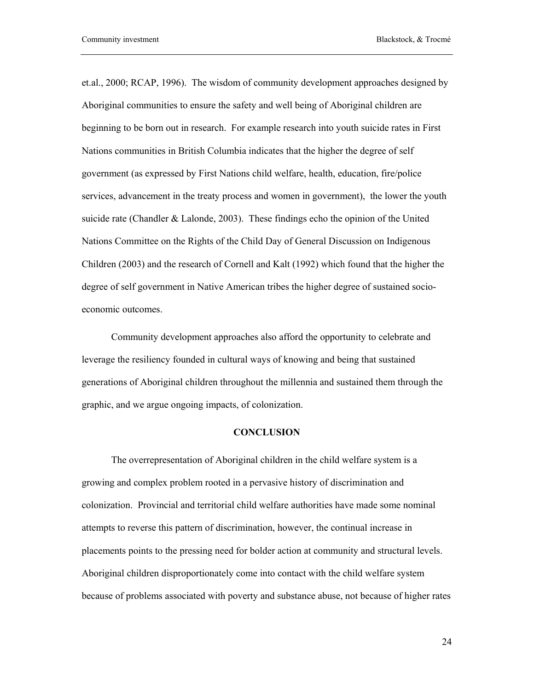et.al., 2000; RCAP, 1996). The wisdom of community development approaches designed by Aboriginal communities to ensure the safety and well being of Aboriginal children are beginning to be born out in research. For example research into youth suicide rates in First Nations communities in British Columbia indicates that the higher the degree of self government (as expressed by First Nations child welfare, health, education, fire/police services, advancement in the treaty process and women in government), the lower the youth suicide rate (Chandler & Lalonde, 2003). These findings echo the opinion of the United Nations Committee on the Rights of the Child Day of General Discussion on Indigenous Children (2003) and the research of Cornell and Kalt (1992) which found that the higher the degree of self government in Native American tribes the higher degree of sustained socioeconomic outcomes.

Community development approaches also afford the opportunity to celebrate and leverage the resiliency founded in cultural ways of knowing and being that sustained generations of Aboriginal children throughout the millennia and sustained them through the graphic, and we argue ongoing impacts, of colonization.

#### **CONCLUSION**

The overrepresentation of Aboriginal children in the child welfare system is a growing and complex problem rooted in a pervasive history of discrimination and colonization. Provincial and territorial child welfare authorities have made some nominal attempts to reverse this pattern of discrimination, however, the continual increase in placements points to the pressing need for bolder action at community and structural levels. Aboriginal children disproportionately come into contact with the child welfare system because of problems associated with poverty and substance abuse, not because of higher rates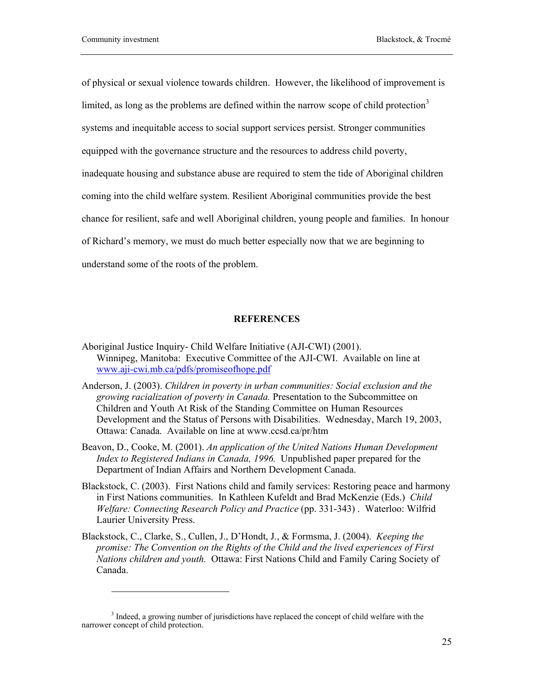$\overline{\phantom{a}}$ 

of physical or sexual violence towards children. However, the likelihood of improvement is limited, as long as the problems are defined within the narrow scope of child protection<sup>3</sup> systems and inequitable access to social support services persist. Stronger communities equipped with the governance structure and the resources to address child poverty, inadequate housing and substance abuse are required to stem the tide of Aboriginal children coming into the child welfare system. Resilient Aboriginal communities provide the best chance for resilient, safe and well Aboriginal children, young people and families. In honour of Richard's memory, we must do much better especially now that we are beginning to understand some of the roots of the problem.

### **REFERENCES**

- Aboriginal Justice Inquiry- Child Welfare Initiative (AJI-CWI) (2001). Winnipeg, Manitoba: Executive Committee of the AJI-CWI. Available on line at www.aji-cwi.mb.ca/pdfs/promiseofhope.pdf
- Anderson, J. (2003). *Children in poverty in urban communities: Social exclusion and the growing racialization of poverty in Canada.* Presentation to the Subcommittee on Children and Youth At Risk of the Standing Committee on Human Resources Development and the Status of Persons with Disabilities. Wednesday, March 19, 2003, Ottawa: Canada. Available on line at www.ccsd.ca/pr/htm
- Beavon, D., Cooke, M. (2001). *An application of the United Nations Human Development Index to Registered Indians in Canada, 1996.* Unpublished paper prepared for the Department of Indian Affairs and Northern Development Canada.
- Blackstock, C. (2003). First Nations child and family services: Restoring peace and harmony in First Nations communities. In Kathleen Kufeldt and Brad McKenzie (Eds.) *Child Welfare: Connecting Research Policy and Practice* (pp. 331-343) .Waterloo: Wilfrid Laurier University Press.
- Blackstock, C., Clarke, S., Cullen, J., D'Hondt, J., & Formsma, J. (2004). *Keeping the promise: The Convention on the Rights of the Child and the lived experiences of First Nations children and youth.* Ottawa: First Nations Child and Family Caring Society of Canada.

<sup>&</sup>lt;sup>3</sup> Indeed, a growing number of jurisdictions have replaced the concept of child welfare with the narrower concept of child protection.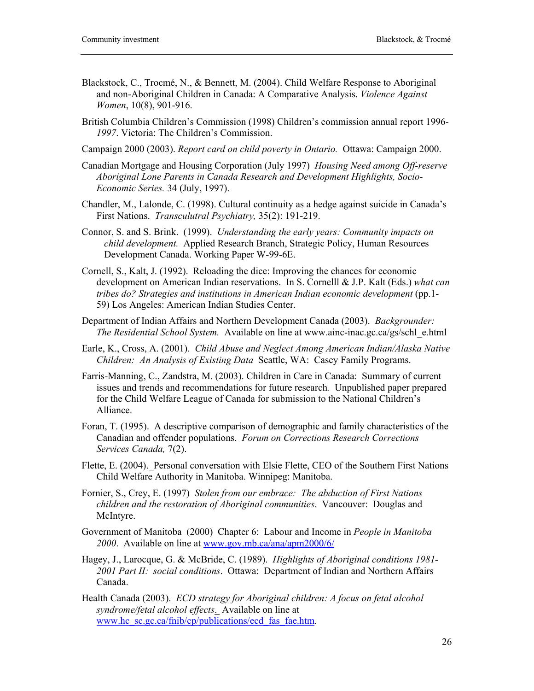- Blackstock, C., Trocmé, N., & Bennett, M. (2004). Child Welfare Response to Aboriginal and non-Aboriginal Children in Canada: A Comparative Analysis. *Violence Against Women*, 10(8), 901-916.
- British Columbia Children's Commission (1998) Children's commission annual report 1996- *1997*. Victoria: The Children's Commission.
- Campaign 2000 (2003). *Report card on child poverty in Ontario.* Ottawa: Campaign 2000.
- Canadian Mortgage and Housing Corporation (July 1997) *Housing Need among Off-reserve Aboriginal Lone Parents in Canada Research and Development Highlights, Socio-Economic Series.* 34 (July, 1997).
- Chandler, M., Lalonde, C. (1998). Cultural continuity as a hedge against suicide in Canada's First Nations. *Transculutral Psychiatry,* 35(2): 191-219.
- Connor, S. and S. Brink. (1999). *Understanding the early years: Community impacts on child development.* Applied Research Branch, Strategic Policy, Human Resources Development Canada. Working Paper W-99-6E.
- Cornell, S., Kalt, J. (1992). Reloading the dice: Improving the chances for economic development on American Indian reservations. In S. Cornelll & J.P. Kalt (Eds.) *what can tribes do? Strategies and institutions in American Indian economic development* (pp.1-59) Los Angeles: American Indian Studies Center.
- Department of Indian Affairs and Northern Development Canada (2003). *Backgrounder: The Residential School System.* Available on line at www.ainc-inac.gc.ca/gs/schl\_e.html
- Earle, K., Cross, A. (2001). *Child Abuse and Neglect Among American Indian/Alaska Native Children: An Analysis of Existing Data* Seattle, WA: Casey Family Programs.
- Farris-Manning, C., Zandstra, M. (2003). Children in Care in Canada: Summary of current issues and trends and recommendations for future research*.* Unpublished paper prepared for the Child Welfare League of Canada for submission to the National Children's Alliance.
- Foran, T. (1995). A descriptive comparison of demographic and family characteristics of the Canadian and offender populations. *Forum on Corrections Research Corrections Services Canada,* 7(2).
- Flette, E. (2004). Personal conversation with Elsie Flette, CEO of the Southern First Nations Child Welfare Authority in Manitoba. Winnipeg: Manitoba.
- Fornier, S., Crey, E. (1997) *Stolen from our embrace: The abduction of First Nations children and the restoration of Aboriginal communities.* Vancouver: Douglas and McIntyre.
- Government of Manitoba (2000) Chapter 6: Labour and Income in *People in Manitoba 2000*. Available on line at www.gov.mb.ca/ana/apm2000/6/
- Hagey, J., Larocque, G. & McBride, C. (1989). *Highlights of Aboriginal conditions 1981- 2001 Part II: social conditions*. Ottawa: Department of Indian and Northern Affairs Canada.
- Health Canada (2003). *ECD strategy for Aboriginal children: A focus on fetal alcohol syndrome/fetal alcohol effects*. Available on line at www.hc\_sc.gc.ca/fnib/cp/publications/ecd\_fas\_fae.htm.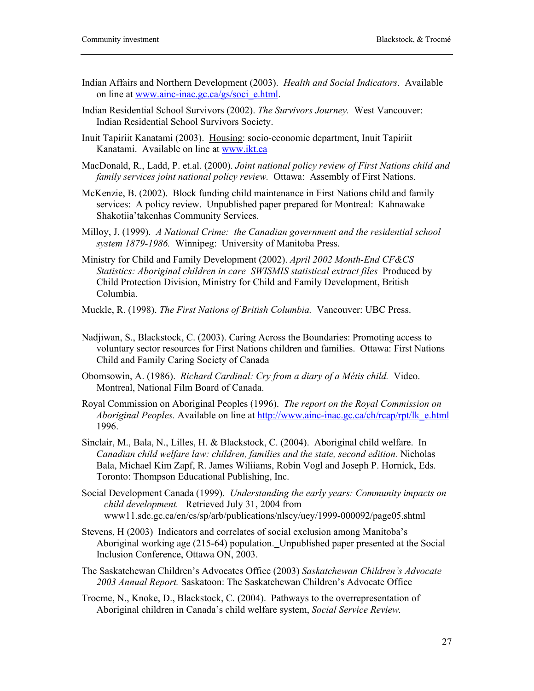- Indian Affairs and Northern Development (2003). *Health and Social Indicators*. Available on line at www.ainc-inac.gc.ca/gs/soci\_e.html.
- Indian Residential School Survivors (2002). *The Survivors Journey.* West Vancouver: Indian Residential School Survivors Society.
- Inuit Tapiriit Kanatami (2003). Housing: socio-economic department, Inuit Tapiriit Kanatami. Available on line at www.ikt.ca
- MacDonald, R., Ladd, P. et.al. (2000). *Joint national policy review of First Nations child and family services joint national policy review.* Ottawa: Assembly of First Nations.
- McKenzie, B. (2002). Block funding child maintenance in First Nations child and family services: A policy review. Unpublished paper prepared for Montreal: Kahnawake Shakotiia'takenhas Community Services.
- Milloy, J. (1999). *A National Crime: the Canadian government and the residential school system 1879-1986.* Winnipeg: University of Manitoba Press.
- Ministry for Child and Family Development (2002). *April 2002 Month-End CF&CS Statistics: Aboriginal children in care SWISMIS statistical extract files* Produced by Child Protection Division, Ministry for Child and Family Development, British Columbia.
- Muckle, R. (1998). *The First Nations of British Columbia.* Vancouver: UBC Press.
- Nadjiwan, S., Blackstock, C. (2003). Caring Across the Boundaries: Promoting access to voluntary sector resources for First Nations children and families. Ottawa: First Nations Child and Family Caring Society of Canada
- Obomsowin, A. (1986). *Richard Cardinal: Cry from a diary of a Métis child.* Video. Montreal, National Film Board of Canada.
- Royal Commission on Aboriginal Peoples (1996). *The report on the Royal Commission on Aboriginal Peoples.* Available on line at  $\frac{http://www.ainc-inac.ge.ca/ch/rcap/rb/lk_e.html}{http://www.ainc-inac.ge.ca/ch/rcap/rb/lk_e.html}$ 1996.
- Sinclair, M., Bala, N., Lilles, H. & Blackstock, C. (2004). Aboriginal child welfare. In *Canadian child welfare law: children, families and the state, second edition.* Nicholas Bala, Michael Kim Zapf, R. James Wiliiams, Robin Vogl and Joseph P. Hornick, Eds. Toronto: Thompson Educational Publishing, Inc.
- Social Development Canada (1999). *Understanding the early years: Community impacts on child development.* Retrieved July 31, 2004 from www11.sdc.gc.ca/en/cs/sp/arb/publications/nlscy/uey/1999-000092/page05.shtml
- Stevens, H (2003) Indicators and correlates of social exclusion among Manitoba's Aboriginal working age (215-64) population. Unpublished paper presented at the Social Inclusion Conference, Ottawa ON, 2003.
- The Saskatchewan Children's Advocates Office (2003) *Saskatchewan Children's Advocate 2003 Annual Report.* Saskatoon: The Saskatchewan Children's Advocate Office
- Trocme, N., Knoke, D., Blackstock, C. (2004). Pathways to the overrepresentation of Aboriginal children in Canada's child welfare system, *Social Service Review.*